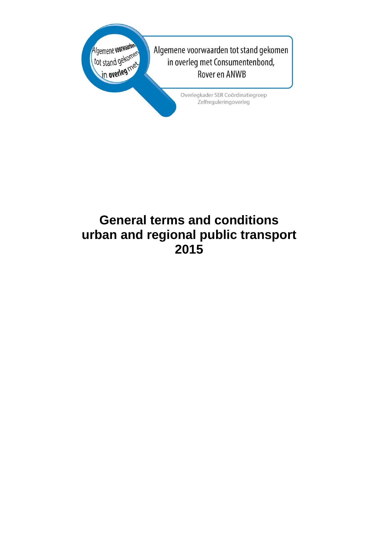

# **General terms and conditions urban and regional public transport 2015**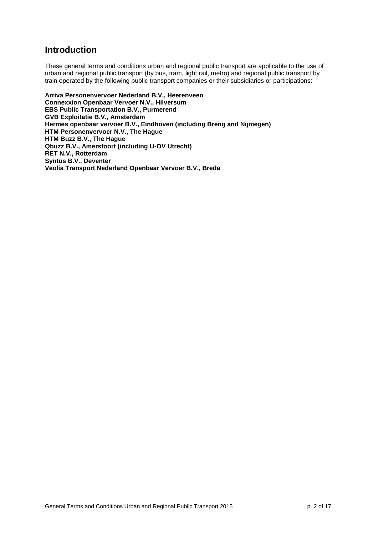## **Introduction**

These general terms and conditions urban and regional public transport are applicable to the use of urban and regional public transport (by bus, tram, light rail, metro) and regional public transport by train operated by the following public transport companies or their subsidiaries or participations:

**Arriva Personenvervoer Nederland B.V., Heerenveen Connexxion Openbaar Vervoer N.V., Hilversum EBS Public Transportation B.V., Purmerend GVB Exploitatie B.V., Amsterdam Hermes openbaar vervoer B.V., Eindhoven (including Breng and Nijmegen) HTM Personenvervoer N.V., The Hague HTM Buzz B.V., The Hague Qbuzz B.V., Amersfoort (including U-OV Utrecht) RET N.V., Rotterdam Syntus B.V., Deventer Veolia Transport Nederland Openbaar Vervoer B.V., Breda**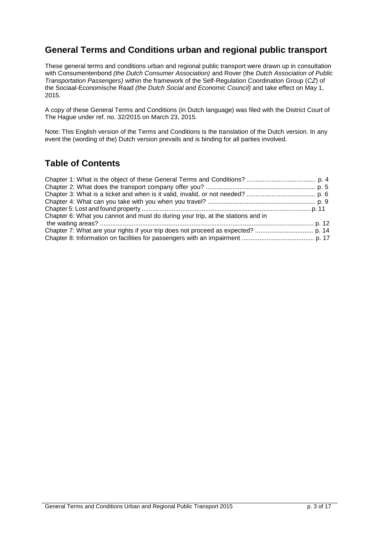## **General Terms and Conditions urban and regional public transport**

These general terms and conditions urban and regional public transport were drawn up in consultation with Consumentenbond *(the Dutch Consumer Association)* and Rover (the *Dutch Association of Public Transportation Passengers)* within the framework of the Self-Regulation Coordination Group (*CZ*) of the Sociaal-Economische Raad *(the Dutch Social and Economic Council)* and take effect on May 1, 2015.

A copy of these General Terms and Conditions (in Dutch language) was filed with the District Court of The Hague under ref. no. 32/2015 on March 23, 2015.

Note: This English version of the Terms and Conditions is the translation of the Dutch version. In any event the (wording of the) Dutch version prevails and is binding for all parties involved.

## **Table of Contents**

| Chapter 6: What you cannot and must do during your trip, at the stations and in |  |
|---------------------------------------------------------------------------------|--|
|                                                                                 |  |
|                                                                                 |  |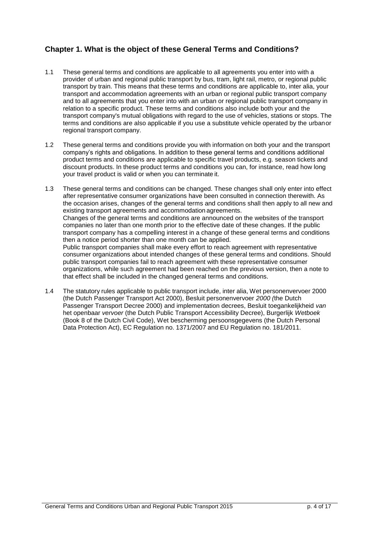## **Chapter 1. What is the object of these General Terms and Conditions?**

- 1.1 These general terms and conditions are applicable to all agreements you enter into with a provider of urban and regional public transport by bus, tram, light rail, metro, or regional public transport by train. This means that these terms and conditions are applicable to, inter alia, your transport and accommodation agreements with an urban or regional public transport company and to all agreements that you enter into with an urban or regional public transport company in relation to a specific product. These terms and conditions also include both your and the transport company's mutual obligations with regard to the use of vehicles, stations or stops. The terms and conditions are also applicable if you use a substitute vehicle operated by the urban or regional transport company.
- 1.2 These general terms and conditions provide you with information on both your and the transport company's rights and obligations. In addition to these general terms and conditions additional product terms and conditions are applicable to specific travel products, e.g. season tickets and discount products. In these product terms and conditions you can, for instance, read how long your travel product is valid or when you can terminate it.
- 1.3 These general terms and conditions can be changed. These changes shall only enter into effect after representative consumer organizations have been consulted in connection therewith. As the occasion arises, changes of the general terms and conditions shall then apply to all new and existing transport agreements and accommodation agreements. Changes of the general terms and conditions are announced on the websites of the transport companies no later than one month prior to the effective date of these changes. If the public transport company has a compelling interest in a change of these general terms and conditions then a notice period shorter than one month can be applied. Public transport companies shall make every effort to reach agreement with representative consumer organizations about intended changes of these general terms and conditions. Should public transport companies fail to reach agreement with these representative consumer organizations, while such agreement had been reached on the previous version, then a note to that effect shall be included in the changed general terms and conditions.
- 1.4 The statutory rules applicable to public transport include, inter alia, Wet personenvervoer 2000 (the Dutch Passenger Transport Act 2000), Besluit personenvervoer *2000 (*the Dutch Passenger Transport Decree 2000) and implementation decrees, Besluit toegankelijkheid *van*  het openbaar *vervoer* (the Dutch Public Transport Accessibility Decree), Burgerlijk *Wetboek*  (Book 8 of the Dutch Civil Code), Wet bescherming persoonsgegevens (the Dutch Personal Data Protection Act), EC Regulation no. 1371/2007 and EU Regulation no. 181/2011.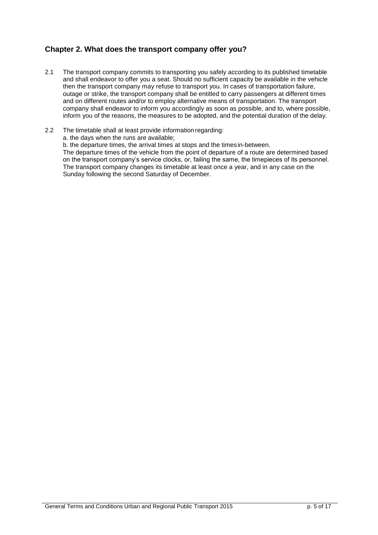### **Chapter 2. What does the transport company offer you?**

- 2.1 The transport company commits to transporting you safely according to its published timetable and shall endeavor to offer you a seat. Should no sufficient capacity be available in the vehicle then the transport company may refuse to transport you. In cases of transportation failure, outage or strike, the transport company shall be entitled to carry passengers at different times and on different routes and/or to employ alternative means of transportation. The transport company shall endeavor to inform you accordingly as soon as possible, and to, where possible, inform you of the reasons, the measures to be adopted, and the potential duration of the delay.
- 2.2 The timetable shall at least provide information regarding:

a. the days when the runs are available;

b. the departure times, the arrival times at stops and the times in-between.

The departure times of the vehicle from the point of departure of a route are determined based on the transport company's service clocks, or, failing the same, the timepieces of its personnel. The transport company changes its timetable at least once a year, and in any case on the Sunday following the second Saturday of December.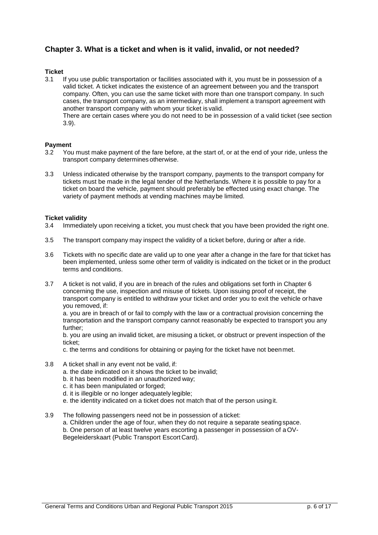### **Chapter 3. What is a ticket and when is it valid, invalid, or not needed?**

## **Ticket**

If you use public transportation or facilities associated with it, you must be in possession of a valid ticket. A ticket indicates the existence of an agreement between you and the transport company. Often, you can use the same ticket with more than one transport company. In such cases, the transport company, as an intermediary, shall implement a transport agreement with another transport company with whom your ticket is valid.

There are certain cases where you do not need to be in possession of a valid ticket (see section 3.9).

## **Payment**<br>3.2 You

- You must make payment of the fare before, at the start of, or at the end of your ride, unless the transport company determines otherwise.
- 3.3 Unless indicated otherwise by the transport company, payments to the transport company for tickets must be made in the legal tender of the Netherlands. Where it is possible to pay for a ticket on board the vehicle, payment should preferably be effected using exact change. The variety of payment methods at vending machines may be limited.

## **Ticket validity**<br>3.4 Immediat

- Immediately upon receiving a ticket, you must check that you have been provided the right one.
- 3.5 The transport company may inspect the validity of a ticket before, during or after a ride.
- 3.6 Tickets with no specific date are valid up to one year after a change in the fare for that ticket has been implemented, unless some other term of validity is indicated on the ticket or in the product terms and conditions.
- 3.7 A ticket is not valid, if you are in breach of the rules and obligations set forth in Chapter 6 concerning the use, inspection and misuse of tickets. Upon issuing proof of receipt, the transport company is entitled to withdraw your ticket and order you to exit the vehicle or have you removed, if:

a. you are in breach of or fail to comply with the law or a contractual provision concerning the transportation and the transport company cannot reasonably be expected to transport you any further;

b. you are using an invalid ticket, are misusing a ticket, or obstruct or prevent inspection of the ticket;

c. the terms and conditions for obtaining or paying for the ticket have not been met.

- 3.8 A ticket shall in any event not be valid, if:
	- a. the date indicated on it shows the ticket to be invalid;
	- b. it has been modified in an unauthorized way;
	- c. it has been manipulated or forged;
	- d. it is illegible or no longer adequately legible;
	- e. the identity indicated on a ticket does not match that of the person using it.
- 3.9 The following passengers need not be in possession of a ticket: a. Children under the age of four, when they do not require a separate seating space. b. One person of at least twelve years escorting a passenger in possession of a OV*-*Begeleiderskaart (Public Transport Escort Card).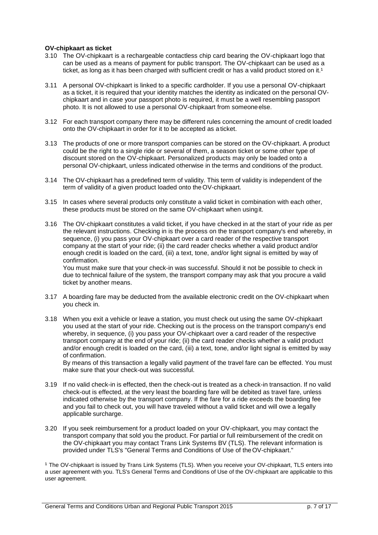#### **OV-chipkaart as ticket**

- 3.10 The OV-chipkaart is a rechargeable contactless chip card bearing the OV-chipkaart logo that can be used as a means of payment for public transport. The OV-chipkaart can be used as a ticket, as long as it has been charged with sufficient credit or has a valid product stored on it.<sup>1</sup>
- 3.11 A personal OV-chipkaart is linked to a specific cardholder. If you use a personal OV-chipkaart as a ticket, it is required that your identity matches the identity as indicated on the personal OVchipkaart and in case your passport photo is required, it must be a well resembling passport photo. It is not allowed to use a personal OV-chipkaart from someone else.
- 3.12 For each transport company there may be different rules concerning the amount of credit loaded onto the OV-chipkaart in order for it to be accepted as a ticket.
- 3.13 The products of one or more transport companies can be stored on the OV-chipkaart. A product could be the right to a single ride or several of them, a season ticket or some other type of discount stored on the OV-chipkaart. Personalized products may only be loaded onto a personal OV-chipkaart, unless indicated otherwise in the terms and conditions of the product.
- 3.14 The OV-chipkaart has a predefined term of validity. This term of validity is independent of the term of validity of a given product loaded onto the OV-chipkaart.
- 3.15 In cases where several products only constitute a valid ticket in combination with each other, these products must be stored on the same OV-chipkaart when using it.
- 3.16 The OV-chipkaart constitutes a valid ticket, if you have checked in at the start of your ride as per the relevant instructions. Checking in is the process on the transport company's end whereby, in sequence, (i) you pass your OV-chipkaart over a card reader of the respective transport company at the start of your ride; (ii) the card reader checks whether a valid product and/or enough credit is loaded on the card, (iii) a text, tone, and/or light signal is emitted by way of confirmation.

You must make sure that your check-in was successful. Should it not be possible to check in due to technical failure of the system, the transport company may ask that you procure a valid ticket by another means.

- 3.17 A boarding fare may be deducted from the available electronic credit on the OV-chipkaart when you check in.
- 3.18 When you exit a vehicle or leave a station, you must check out using the same OV-chipkaart you used at the start of your ride. Checking out is the process on the transport company's end whereby, in sequence, (i) you pass your OV-chipkaart over a card reader of the respective transport company at the end of your ride; (ii) the card reader checks whether a valid product and/or enough credit is loaded on the card, (iii) a text, tone, and/or light signal is emitted by way of confirmation.

By means of this transaction a legally valid payment of the travel fare can be effected. You must make sure that your check-out was successful.

- 3.19 If no valid check-in is effected, then the check-out is treated as a check-in transaction. If no valid check-out is effected, at the very least the boarding fare will be debited as travel fare, unless indicated otherwise by the transport company. If the fare for a ride exceeds the boarding fee and you fail to check out, you will have traveled without a valid ticket and will owe a legally applicable surcharge.
- 3.20 If you seek reimbursement for a product loaded on your OV-chipkaart, you may contact the transport company that sold you the product. For partial or full reimbursement of the credit on the OV-chipkaart you may contact Trans Link Systems BV (TLS). The relevant information is provided under TLS's "General Terms and Conditions of Use of the OV-chipkaart."

<sup>1</sup> The OV-chipkaart is issued by Trans Link Systems (TLS). When you receive your OV-chipkaart, TLS enters into a user agreement with you. TLS's General Terms and Conditions of Use of the OV-chipkaart are applicable to this user agreement.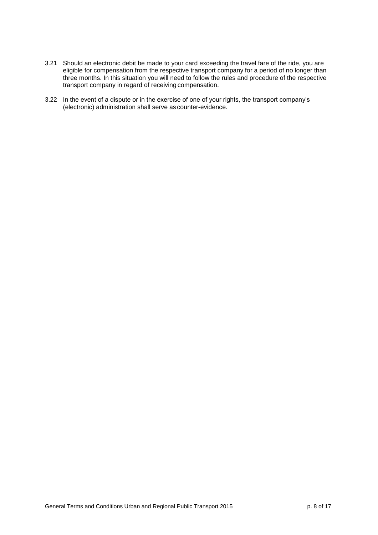- 3.21 Should an electronic debit be made to your card exceeding the travel fare of the ride, you are eligible for compensation from the respective transport company for a period of no longer than three months. In this situation you will need to follow the rules and procedure of the respective transport company in regard of receiving compensation.
- 3.22 In the event of a dispute or in the exercise of one of your rights, the transport company's (electronic) administration shall serve as counter-evidence.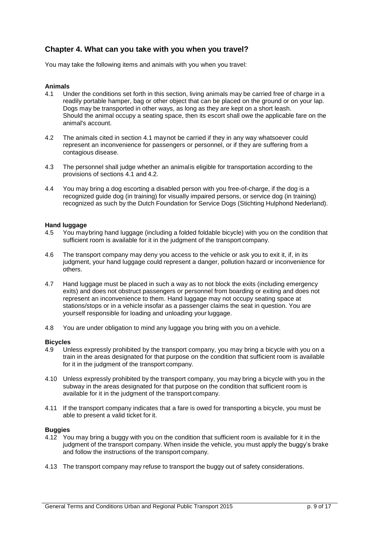### **Chapter 4. What can you take with you when you travel?**

You may take the following items and animals with you when you travel:

#### **Animals**

- 4.1 Under the conditions set forth in this section, living animals may be carried free of charge in a readily portable hamper, bag or other object that can be placed on the ground or on your lap. Dogs may be transported in other ways, as long as they are kept on a short leash. Should the animal occupy a seating space, then its escort shall owe the applicable fare on the animal's account.
- 4.2 The animals cited in section 4.1 may not be carried if they in any way whatsoever could represent an inconvenience for passengers or personnel, or if they are suffering from a contagious disease.
- 4.3 The personnel shall judge whether an animal is eligible for transportation according to the provisions of sections 4.1 and 4.2.
- 4.4 You may bring a dog escorting a disabled person with you free-of-charge, if the dog is a recognized guide dog (in training) for visually impaired persons, or service dog (in training) recognized as such by the Dutch Foundation for Service Dogs (Stichting Hulphond Nederland).

## **Hand luggage**<br>4.5 You may

- You may bring hand luggage (including a folded foldable bicycle) with you on the condition that sufficient room is available for it in the judgment of the transport company.
- 4.6 The transport company may deny you access to the vehicle or ask you to exit it, if, in its judgment, your hand luggage could represent a danger, pollution hazard or inconvenience for others.
- 4.7 Hand luggage must be placed in such a way as to not block the exits (including emergency exits) and does not obstruct passengers or personnel from boarding or exiting and does not represent an inconvenience to them. Hand luggage may not occupy seating space at stations/stops or in a vehicle insofar as a passenger claims the seat in question. You are yourself responsible for loading and unloading your luggage.
- 4.8 You are under obligation to mind any luggage you bring with you on a vehicle.

#### **Bicycles**

- 4.9 Unless expressly prohibited by the transport company, you may bring a bicycle with you on a train in the areas designated for that purpose on the condition that sufficient room is available for it in the judgment of the transport company.
- 4.10 Unless expressly prohibited by the transport company, you may bring a bicycle with you in the subway in the areas designated for that purpose on the condition that sufficient room is available for it in the judgment of the transport company.
- 4.11 If the transport company indicates that a fare is owed for transporting a bicycle, you must be able to present a valid ticket for it.

#### **Buggies**

- 4.12 You may bring a buggy with you on the condition that sufficient room is available for it in the judgment of the transport company. When inside the vehicle, you must apply the buggy's brake and follow the instructions of the transport company.
- 4.13 The transport company may refuse to transport the buggy out of safety considerations.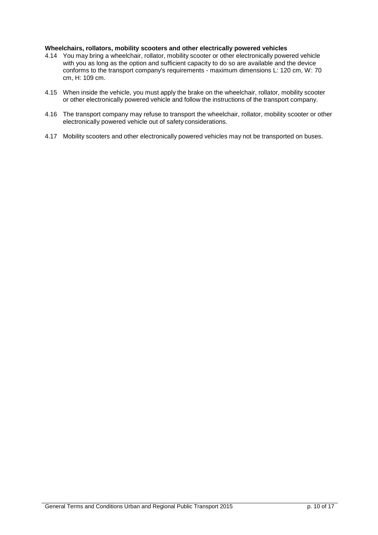#### **Wheelchairs, rollators, mobility scooters and other electrically powered vehicles**

- 4.14 You may bring a wheelchair, rollator, mobility scooter or other electronically powered vehicle with you as long as the option and sufficient capacity to do so are available and the device conforms to the transport company's requirements - maximum dimensions L: 120 cm, W: 70 cm, H: 109 cm.
- 4.15 When inside the vehicle, you must apply the brake on the wheelchair, rollator, mobility scooter or other electronically powered vehicle and follow the instructions of the transport company.
- 4.16 The transport company may refuse to transport the wheelchair, rollator, mobility scooter or other electronically powered vehicle out of safety considerations.
- 4.17 Mobility scooters and other electronically powered vehicles may not be transported on buses.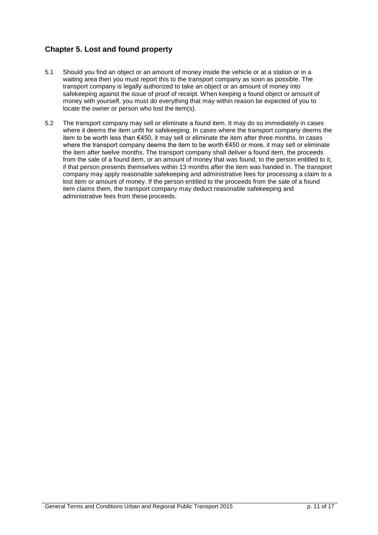## **Chapter 5. Lost and found property**

- 5.1 Should you find an object or an amount of money inside the vehicle or at a station or in a waiting area then you must report this to the transport company as soon as possible. The transport company is legally authorized to take an object or an amount of money into safekeeping against the issue of proof of receipt. When keeping a found object or amount of money with yourself, you must do everything that may within reason be expected of you to locate the owner or person who lost the item(s).
- 5.2 The transport company may sell or eliminate a found item. It may do so immediately in cases where it deems the item unfit for safekeeping. In cases where the transport company deems the item to be worth less than €450, it may sell or eliminate the item after three months. In cases where the transport company deems the item to be worth €450 or more, it may sell or eliminate the item after twelve months. The transport company shall deliver a found item, the proceeds from the sale of a found item, or an amount of money that was found, to the person entitled to it, if that person presents themselves within 13 months after the item was handed in. The transport company may apply reasonable safekeeping and administrative fees for processing a claim to a lost item or amount of money. If the person entitled to the proceeds from the sale of a found item claims them, the transport company may deduct reasonable safekeeping and administrative fees from these proceeds.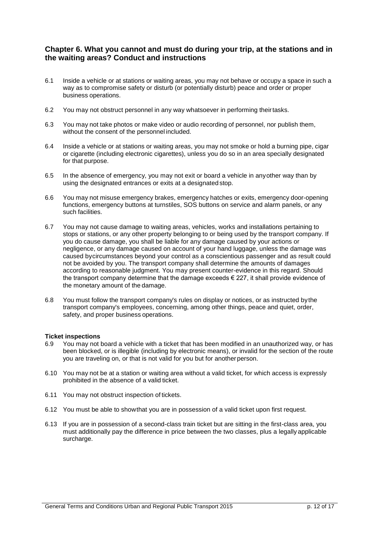### **Chapter 6. What you cannot and must do during your trip, at the stations and in the waiting areas? Conduct and instructions**

- 6.1 Inside a vehicle or at stations or waiting areas, you may not behave or occupy a space in such a way as to compromise safety or disturb (or potentially disturb) peace and order or proper business operations.
- 6.2 You may not obstruct personnel in any way whatsoever in performing their tasks.
- 6.3 You may not take photos or make video or audio recording of personnel, nor publish them, without the consent of the personnel included.
- 6.4 Inside a vehicle or at stations or waiting areas, you may not smoke or hold a burning pipe, cigar or cigarette (including electronic cigarettes), unless you do so in an area specially designated for that purpose.
- 6.5 In the absence of emergency, you may not exit or board a vehicle in any other way than by using the designated entrances or exits at a designated stop.
- 6.6 You may not misuse emergency brakes, emergency hatches or exits, emergency door-opening functions, emergency buttons at turnstiles, SOS buttons on service and alarm panels, or any such facilities.
- 6.7 You may not cause damage to waiting areas, vehicles, works and installations pertaining to stops or stations, or any other property belonging to or being used by the transport company. If you do cause damage, you shall be liable for any damage caused by your actions or negligence, or any damage caused on account of your hand luggage, unless the damage was caused by circumstances beyond your control as a conscientious passenger and as result could not be avoided by you. The transport company shall determine the amounts of damages according to reasonable judgment. You may present counter-evidence in this regard. Should the transport company determine that the damage exceeds  $\epsilon$  227, it shall provide evidence of the monetary amount of the damage.
- 6.8 You must follow the transport company's rules on display or notices, or as instructed by the transport company's employees, concerning, among other things, peace and quiet, order, safety, and proper business operations.

#### **Ticket inspections**

- 6.9 You may not board a vehicle with a ticket that has been modified in an unauthorized way, or has been blocked, or is illegible (including by electronic means), or invalid for the section of the route you are traveling on, or that is not valid for you but for another person.
- 6.10 You may not be at a station or waiting area without a valid ticket, for which access is expressly prohibited in the absence of a valid ticket.
- 6.11 You may not obstruct inspection of tickets.
- 6.12 You must be able to show that you are in possession of a valid ticket upon first request.
- 6.13 If you are in possession of a second-class train ticket but are sitting in the first-class area, you must additionally pay the difference in price between the two classes, plus a legally applicable surcharge.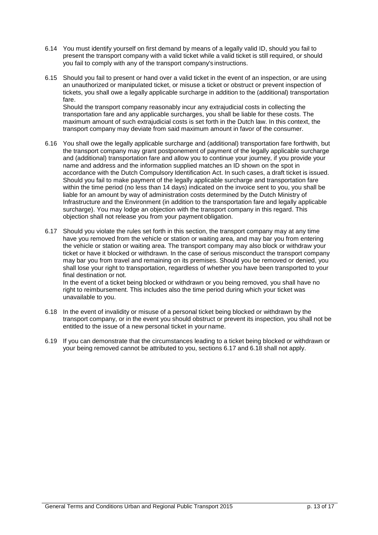- 6.14 You must identify yourself on first demand by means of a legally valid ID, should you fail to present the transport company with a valid ticket while a valid ticket is still required, or should you fail to comply with any of the transport company's instructions.
- 6.15 Should you fail to present or hand over a valid ticket in the event of an inspection, or are using an unauthorized or manipulated ticket, or misuse a ticket or obstruct or prevent inspection of tickets, you shall owe a legally applicable surcharge in addition to the (additional) transportation fare.

Should the transport company reasonably incur any extrajudicial costs in collecting the transportation fare and any applicable surcharges, you shall be liable for these costs. The maximum amount of such extrajudicial costs is set forth in the Dutch law. In this context, the transport company may deviate from said maximum amount in favor of the consumer.

- 6.16 You shall owe the legally applicable surcharge and (additional) transportation fare forthwith, but the transport company may grant postponement of payment of the legally applicable surcharge and (additional) transportation fare and allow you to continue your journey, if you provide your name and address and the information supplied matches an ID shown on the spot in accordance with the Dutch Compulsory Identification Act. In such cases, a draft ticket is issued. Should you fail to make payment of the legally applicable surcharge and transportation fare within the time period (no less than 14 days) indicated on the invoice sent to you, you shall be liable for an amount by way of administration costs determined by the Dutch Ministry of Infrastructure and the Environment (in addition to the transportation fare and legally applicable surcharge). You may lodge an objection with the transport company in this regard. This objection shall not release you from your payment obligation.
- 6.17 Should you violate the rules set forth in this section, the transport company may at any time have you removed from the vehicle or station or waiting area, and may bar you from entering the vehicle or station or waiting area. The transport company may also block or withdraw your ticket or have it blocked or withdrawn. In the case of serious misconduct the transport company may bar you from travel and remaining on its premises. Should you be removed or denied, you shall lose your right to transportation, regardless of whether you have been transported to your final destination or not. In the event of a ticket being blocked or withdrawn or you being removed, you shall have no

right to reimbursement. This includes also the time period during which your ticket was unavailable to you.

- 6.18 In the event of invalidity or misuse of a personal ticket being blocked or withdrawn by the transport company, or in the event you should obstruct or prevent its inspection, you shall not be entitled to the issue of a new personal ticket in your name.
- 6.19 If you can demonstrate that the circumstances leading to a ticket being blocked or withdrawn or your being removed cannot be attributed to you, sections 6.17 and 6.18 shall not apply.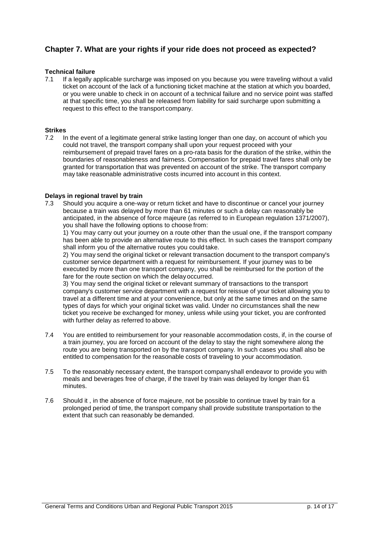### **Chapter 7. What are your rights if your ride does not proceed as expected?**

## **Technical failure**<br> **7.1** If a legally a

If a legally applicable surcharge was imposed on you because you were traveling without a valid ticket on account of the lack of a functioning ticket machine at the station at which you boarded, or you were unable to check in on account of a technical failure and no service point was staffed at that specific time, you shall be released from liability for said surcharge upon submitting a request to this effect to the transport company.

#### **Strikes**

7.2 In the event of a legitimate general strike lasting longer than one day, on account of which you could not travel, the transport company shall upon your request proceed with your reimbursement of prepaid travel fares on a pro-rata basis for the duration of the strike, within the boundaries of reasonableness and fairness. Compensation for prepaid travel fares shall only be granted for transportation that was prevented on account of the strike. The transport company may take reasonable administrative costs incurred into account in this context.

#### **Delays in regional travel by train**

7.3 Should you acquire a one-way or return ticket and have to discontinue or cancel your journey because a train was delayed by more than 61 minutes or such a delay can reasonably be anticipated, in the absence of force majeure (as referred to in European regulation 1371/2007), you shall have the following options to choose from:

1) You may carry out your journey on a route other than the usual one, if the transport company has been able to provide an alternative route to this effect. In such cases the transport company shall inform you of the alternative routes you could take.

2) You may send the original ticket or relevant transaction document to the transport company's customer service department with a request for reimbursement. If your journey was to be executed by more than one transport company, you shall be reimbursed for the portion of the fare for the route section on which the delay occurred.

3) You may send the original ticket or relevant summary of transactions to the transport company's customer service department with a request for reissue of your ticket allowing you to travel at a different time and at your convenience, but only at the same times and on the same types of days for which your original ticket was valid. Under no circumstances shall the new ticket you receive be exchanged for money, unless while using your ticket, you are confronted with further delay as referred to above.

- 7.4 You are entitled to reimbursement for your reasonable accommodation costs, if, in the course of a train journey, you are forced on account of the delay to stay the night somewhere along the route you are being transported on by the transport company. In such cases you shall also be entitled to compensation for the reasonable costs of traveling to your accommodation.
- 7.5 To the reasonably necessary extent, the transport company shall endeavor to provide you with meals and beverages free of charge, if the travel by train was delayed by longer than 61 minutes.
- 7.6 Should it , in the absence of force majeure, not be possible to continue travel by train for a prolonged period of time, the transport company shall provide substitute transportation to the extent that such can reasonably be demanded.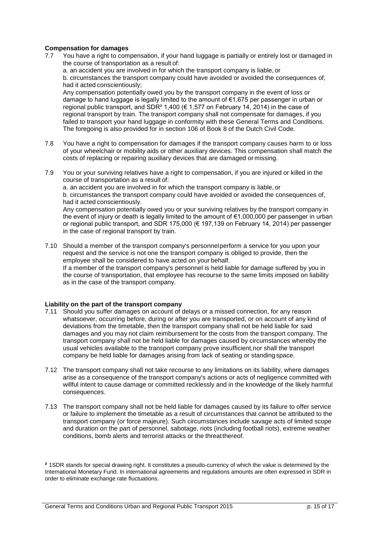#### **Compensation for damages**

7.7 You have a right to compensation, if your hand luggage is partially or entirely lost or damaged in the course of transportation as a result of:

a. an accident you are involved in for which the transport company is liable, or b. circumstances the transport company could have avoided or avoided the consequences of, had it acted conscientiously;

Any compensation potentially owed you by the transport company in the event of loss or damage to hand luggage is legally limited to the amount of €1,675 per passenger in urban or regional public transport, and SDR<sup>2</sup> 1,400 ( $\in$  1,577 on February 14, 2014) in the case of regional transport by train. The transport company shall not compensate for damages, if you failed to transport your hand luggage in conformity with these General Terms and Conditions. The foregoing is also provided for in section 106 of Book 8 of the Dutch Civil Code.

- 7.8 You have a right to compensation for damages if the transport company causes harm to or loss of your wheelchair or mobility aids or other auxiliary devices. This compensation shall match the costs of replacing or repairing auxiliary devices that are damaged or missing.
- 7.9 You or your surviving relatives have a right to compensation, if you are injured or killed in the course of transportation as a result of: a. an accident you are involved in for which the transport company is liable, or

b. circumstances the transport company could have avoided or avoided the consequences of, had it acted conscientiously.

Any compensation potentially owed you or your surviving relatives by the transport company in the event of injury or death is legally limited to the amount of €1,000,000 per passenger in urban or regional public transport, and SDR 175,000 (€ 197,139 on February 14, 2014) per passenger in the case of regional transport by train.

7.10 Should a member of the transport company's personnel perform a service for you upon your request and the service is not one the transport company is obliged to provide, then the employee shall be considered to have acted on your behalf. If a member of the transport company's personnel is held liable for damage suffered by you in the course of transportation, that employee has recourse to the same limits imposed on liability as in the case of the transport company.

#### **Liability on the part of the transport company**

- 7.11 Should you suffer damages on account of delays or a missed connection, for any reason whatsoever, occurring before, during or after you are transported, or on account of any kind of deviations from the timetable, then the transport company shall not be held liable for said damages and you may not claim reimbursement for the costs from the transport company. The transport company shall not be held liable for damages caused by circumstances whereby the usual vehicles available to the transport company prove insufficient,nor shall the transport company be held liable for damages arising from lack of seating or standing space.
- 7.12 The transport company shall not take recourse to any limitations on its liability, where damages arise as a consequence of the transport company's actions or acts of negligence committed with willful intent to cause damage or committed recklessly and in the knowledge of the likely harmful consequences.
- 7.13 The transport company shall not be held liable for damages caused by its failure to offer service or failure to implement the timetable as a result of circumstances that cannot be attributed to the transport company (or force majeure). Such circumstances include savage acts of limited scope and duration on the part of personnel, sabotage, riots (including football riots), extreme weather conditions, bomb alerts and terrorist attacks or the threat thereof.

**²** 1SDR stands for special drawing right. It constitutes a pseudo-currency of which the value is determined by the International Monetary Fund. In international agreements and regulations amounts are often expressed in SDR in order to eliminate exchange rate fluctuations.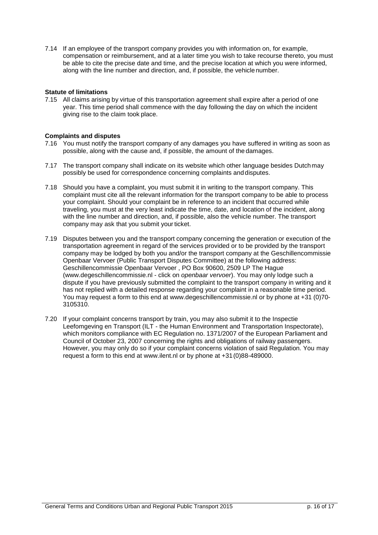7.14 If an employee of the transport company provides you with information on, for example, compensation or reimbursement, and at a later time you wish to take recourse thereto, you must be able to cite the precise date and time, and the precise location at which you were informed, along with the line number and direction, and, if possible, the vehicle number.

#### **Statute of limitations**

7.15 All claims arising by virtue of this transportation agreement shall expire after a period of one year. This time period shall commence with the day following the day on which the incident giving rise to the claim took place.

#### **Complaints and disputes**

- 7.16 You must notify the transport company of any damages you have suffered in writing as soon as possible, along with the cause and, if possible, the amount of the damages.
- 7.17 The transport company shall indicate on its website which other language besides Dutch may possibly be used for correspondence concerning complaints and disputes.
- 7.18 Should you have a complaint, you must submit it in writing to the transport company. This complaint must cite all the relevant information for the transport company to be able to process your complaint. Should your complaint be in reference to an incident that occurred while traveling, you must at the very least indicate the time, date, and location of the incident, along with the line number and direction, and, if possible, also the vehicle number. The transport company may ask that you submit your ticket.
- 7.19 Disputes between you and the transport company concerning the generation or execution of the transportation agreement in regard of the services provided or to be provided by the transport company may be lodged by both you and/or the transport company at the Geschillencommissie Openbaar Vervoer (Public Transport Disputes Committee) at the following address: Geschillencommissie Openbaar Vervoer , PO Box 90600, 2509 LP The Hague [\(www.degeschillencommissie.nl](http://www.degeschillencommissie.nl/) - click on *openbaar vervoer*). You may only lodge such a dispute if you have previously submitted the complaint to the transport company in writing and it has not replied with a detailed response regarding your complaint in a reasonable time period. You may request a form to this end at [www.degeschillencommissie.nl](http://www.degeschillencommissie.nl/) or by phone at +31 (0)70- 3105310.
- 7.20 If your complaint concerns transport by train, you may also submit it to the Inspectie Leefomgeving en Transport (ILT - the Human Environment and Transportation Inspectorate), which monitors compliance with EC Regulation no. 1371/2007 of the European Parliament and Council of October 23, 2007 concerning the rights and obligations of railway passengers. However, you may only do so if your complaint concerns violation of said Regulation. You may request a form to this end at [www.ilent.nl](http://www.ilent.nl/) or by phone at +31 (0)88-489000.